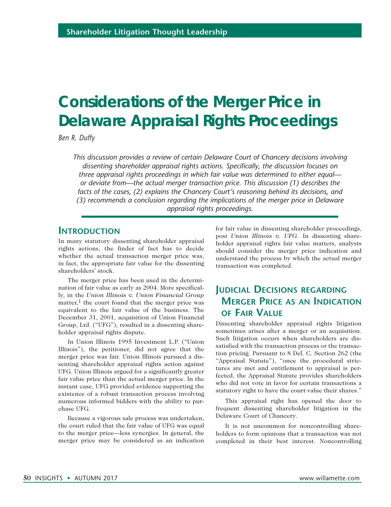# **Considerations of the Merger Price in Delaware Appraisal Rights Proceedings**

*Ben R. Duffy*

*This discussion provides a review of certain Delaware Court of Chancery decisions involving dissenting shareholder appraisal rights actions. Specifically, the discussion focuses on three appraisal rights proceedings in which fair value was determined to either equal or deviate from—the actual merger transaction price. This discussion (1) describes the facts of the cases, (2) explains the Chancery Court's reasoning behind its decisions, and (3) recommends a conclusion regarding the implications of the merger price in Delaware appraisal rights proceedings.*

# **Introduction**

In many statutory dissenting shareholder appraisal rights actions, the finder of fact has to decide whether the actual transaction merger price was, in fact, the appropriate fair value for the dissenting shareholders' stock.

The merger price has been used in the determination of fair value as early as 2004. More specifically, in the *Union Illinois v. Union Financial Group* matter,<sup>1</sup> the court found that the merger price was equivalent to the fair value of the business. The December 31, 2001, acquisition of Union Financial Group, Ltd. ("UFG"), resulted in a dissenting shareholder appraisal rights dispute.

In Union Illinois 1995 Investment L.P. ("Union Illinois"), the petitioner, did not agree that the merger price was fair. Union Illinois pursued a dissenting shareholder appraisal rights action against UFG. Union Illinois argued for a significantly greater fair value price than the actual merger price. In the instant case, UFG provided evidence supporting the existence of a robust transaction process involving numerous informed bidders with the ability to purchase UFG.

Because a vigorous sale process was undertaken, the court ruled that the fair value of UFG was equal to the merger price—less synergies. In general, the merger price may be considered as an indication

for fair value in dissenting shareholder proceedings, post *Union Illinois v. UFG*. In dissenting shareholder appraisal rights fair value matters, analysts should consider the merger price indication and understand the process by which the actual merger transaction was completed.

# **Judicial Decisions regarding Merger Price as an Indication of Fair Value**

Dissenting shareholder appraisal rights litigation sometimes arises after a merger or an acquisition. Such litigation occurs when shareholders are dissatisfied with the transaction process or the transaction pricing. Pursuant to 8 Del. C. Section 262 (the "Appraisal Statute"), "once the procedural strictures are met and entitlement to appraisal is perfected, the Appraisal Statute provides shareholders who did not vote in favor for certain transactions a statutory right to have the court value their shares."

This appraisal right has opened the door to frequent dissenting shareholder litigation in the Delaware Court of Chancery.

It is not uncommon for noncontrolling shareholders to form opinions that a transaction was not completed in their best interest. Noncontrolling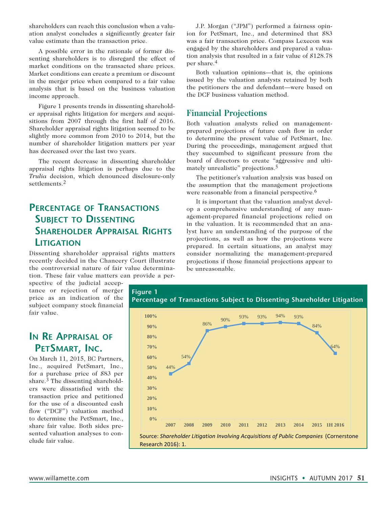shareholders can reach this conclusion when a valuation analyst concludes a significantly greater fair value estimate than the transaction price.

A possible error in the rationale of former dissenting shareholders is to disregard the effect of market conditions on the transacted share prices. Market conditions can create a premium or discount in the merger price when compared to a fair value analysis that is based on the business valuation income approach.

Figure 1 presents trends in dissenting shareholder appraisal rights litigation for mergers and acquisitions from 2007 through the first half of 2016. Shareholder appraisal rights litigation seemed to be slightly more common from 2010 to 2014, but the number of shareholder litigation matters per year has decreased over the last two years.

The recent decrease in dissenting shareholder appraisal rights litigation is perhaps due to the *Trulia* decision, which denounced disclosure-only settlements.2

# **Percentage of Transactions Subject to Dissenting Shareholder Appraisal Rights Litigation**

Dissenting shareholder appraisal rights matters recently decided in the Chancery Court illustrate the controversial nature of fair value determination. These fair value matters can provide a per-

spective of the judicial acceptance or rejection of merger price as an indication of the subject company stock financial fair value.

# **In Re Appraisal of PetSmart, Inc.**

On March 11, 2015, BC Partners, Inc., acquired PetSmart, Inc., for a purchase price of \$83 per share.3 The dissenting shareholders were dissatisfied with the transaction price and petitioned for the use of a discounted cash flow ("DCF") valuation method to determine the PetSmart, Inc., share fair value. Both sides presented valuation analyses to conclude fair value.

J.P. Morgan ("JPM") performed a fairness opinion for PetSmart, Inc., and determined that \$83 was a fair transaction price. Compass Lexecon was engaged by the shareholders and prepared a valuation analysis that resulted in a fair value of \$128.78 per share.4

Both valuation opinions—that is, the opinions issued by the valuation analysts retained by both the petitioners the and defendant—were based on the DCF business valuation method.

# **Financial Projections**

Both valuation analysts relied on managementprepared projections of future cash flow in order to determine the present value of PetSmart, Inc. During the proceedings, management argued that they succumbed to significant pressure from the board of directors to create "aggressive and ultimately unrealistic" projections.<sup>5</sup>

The petitioner's valuation analysis was based on the assumption that the management projections were reasonable from a financial perspective.<sup>6</sup>

It is important that the valuation analyst develop a comprehensive understanding of any management-prepared financial projections relied on in the valuation. It is recommended that an analyst have an understanding of the purpose of the projections, as well as how the projections were prepared. In certain situations, an analyst may consider normalizing the management-prepared projections if those financial projections appear to be unreasonable.

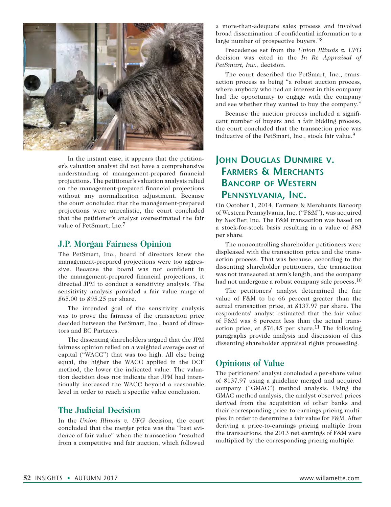

In the instant case, it appears that the petitioner's valuation analyst did not have a comprehensive understanding of management-prepared financial projections. The petitioner's valuation analysis relied on the management-prepared financial projections without any normalization adjustment. Because the court concluded that the management-prepared projections were unrealistic, the court concluded that the petitioner's analyst overestimated the fair value of PetSmart, Inc.7

### **J.P. Morgan Fairness Opinion**

The PetSmart, Inc., board of directors knew the management-prepared projections were too aggressive. Because the board was not confident in the management-prepared financial projections, it directed JPM to conduct a sensitivity analysis. The sensitivity analysis provided a fair value range of \$65.00 to \$95.25 per share.

The intended goal of the sensitivity analysis was to prove the fairness of the transaction price decided between the PetSmart, Inc., board of directors and BC Partners.

The dissenting shareholders argued that the JPM fairness opinion relied on a weighted average cost of capital ("WACC") that was too high. All else being equal, the higher the WACC applied in the DCF method, the lower the indicated value. The valuation decision does not indicate that JPM had intentionally increased the WACC beyond a reasonable level in order to reach a specific value conclusion.

### **The Judicial Decision**

In the *Union Illinois v. UFG* decision, the court concluded that the merger price was the "best evidence of fair value" when the transaction "resulted from a competitive and fair auction, which followed

a more-than-adequate sales process and involved broad dissemination of confidential information to a large number of prospective buyers."8

Precedence set from the *Union Illinois v. UFG* decision was cited in the *In Re Appraisal of PetSmart, Inc.*, decision.

The court described the PetSmart, Inc., transaction process as being "a robust auction process, where anybody who had an interest in this company had the opportunity to engage with the company and see whether they wanted to buy the company."

Because the auction process included a significant number of buyers and a fair bidding process, the court concluded that the transaction price was indicative of the PetSmart, Inc., stock fair value.<sup>9</sup>

# **John Douglas Dunmire v. Farmers & Merchants Bancorp of Western Pennsylvania, Inc.**

On October 1, 2014, Farmers & Merchants Bancorp of Western Pennsylvania, Inc. ("F&M"), was acquired by NexTier, Inc. The F&M transaction was based on a stock-for-stock basis resulting in a value of \$83 per share.

The noncontrolling shareholder petitioners were displeased with the transaction price and the transaction process. That was because, according to the dissenting shareholder petitioners, the transaction was not transacted at arm's length, and the company had not undergone a robust company sale process.<sup>10</sup>

The petitioners' analyst determined the fair value of F&M to be 66 percent greater than the actual transaction price, at \$137.97 per share. The respondents' analyst estimated that the fair value of F&M was 8 percent less than the actual transaction price, at  $$76.45$  per share.<sup>11</sup> The following paragraphs provide analysis and discussion of this dissenting shareholder appraisal rights proceeding.

# **Opinions of Value**

The petitioners' analyst concluded a per-share value of \$137.97 using a guideline merged and acquired company ("GMAC") method analysis. Using the GMAC method analysis, the analyst observed prices derived from the acquisition of other banks and their corresponding price-to-earnings pricing multiples in order to determine a fair value for F&M. After deriving a price-to-earnings pricing multiple from the transactions, the 2013 net earnings of F&M were multiplied by the corresponding pricing multiple.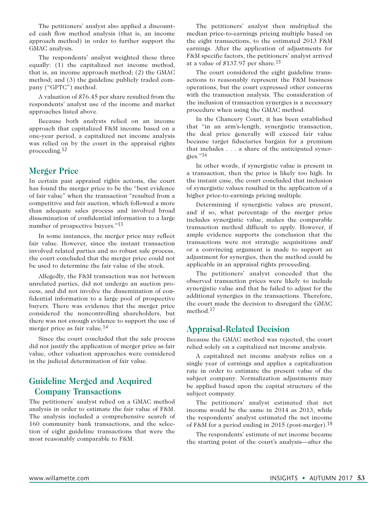The petitioners' analyst also applied a discounted cash flow method analysis (that is, an income approach method) in order to further support the GMAC analysis.

The respondents' analyst weighted these three equally: (1) the capitalized net income method, that is, an income approach method; (2) the GMAC method; and (3) the guideline publicly traded company ("GPTC") method.

A valuation of \$76.45 per share resulted from the respondents' analyst use of the income and market approaches listed above.

Because both analysts relied on an income approach that capitalized F&M income based on a one-year period, a capitalized net income analysis was relied on by the court in the appraisal rights proceeding.12

# **Merger Price**

In certain past appraisal rights actions, the court has found the merger price to be the "best evidence of fair value" when the transaction "resulted from a competitive and fair auction, which followed a more than adequate sales process and involved broad dissemination of confidential information to a large number of prospective buyers."13

In some instances, the merger price may reflect fair value. However, since the instant transaction involved related parties and no robust sale process, the court concluded that the merger price could not be used to determine the fair value of the stock.

Allegedly, the F&M transaction was not between unrelated parties, did not undergo an auction process, and did not involve the dissemination of confidential information to a large pool of prospective buyers. There was evidence that the merger price considered the noncontrolling shareholders, but there was not enough evidence to support the use of merger price as fair value.14

Since the court concluded that the sale process did not justify the application of merger price as fair value, other valuation approaches were considered in the judicial determination of fair value.

# **Guideline Merged and Acquired Company Transactions**

The petitioners' analyst relied on a GMAC method analysis in order to estimate the fair value of F&M. The analysis included a comprehensive search of 160 community bank transactions, and the selection of eight guideline transactions that were the most reasonably comparable to F&M.

The petitioners' analyst then multiplied the median price-to-earnings pricing multiple based on the eight transactions, to the estimated 2013 F&M earnings. After the application of adjustments for F&M specific factors, the petitioners' analyst arrived at a value of \$137.97 per share.15

The court considered the eight guideline transactions to reasonably represent the F&M business operations, but the court expressed other concerns with the transaction analysis. The consideration of the inclusion of transaction synergies is a necessary procedure when using the GMAC method.

In the Chancery Court, it has been established that "in an arm's-length, synergistic transaction, the deal price generally will exceed fair value because target fiduciaries bargain for a premium that includes . . . a share of the anticipated synergies."16

In other words, if synergistic value is present in a transaction, then the price is likely too high. In the instant case, the court concluded that inclusion of synergistic values resulted in the application of a higher price-to-earnings pricing multiple.

Determining if synergistic values are present, and if so, what percentage of the merger price includes synergistic value, makes the comparable transaction method difficult to apply. However, if ample evidence supports the conclusion that the transactions were not strategic acquisitions and/ or a convincing argument is made to support an adjustment for synergies, then the method could be applicable in an appraisal rights proceeding.

The petitioners' analyst conceded that the observed transaction prices were likely to include synergistic value and that he failed to adjust for the additional synergies in the transactions. Therefore, the court made the decision to disregard the GMAC method.17

# **Appraisal-Related Decision**

Because the GMAC method was rejected, the court relied solely on a capitalized net income analysis.

A capitalized net income analysis relies on a single year of earnings and applies a capitalization rate in order to estimate the present value of the subject company. Normalization adjustments may be applied based upon the capital structure of the subject company.

The petitioners' analyst estimated that net income would be the same in 2014 as 2013, while the respondents' analyst estimated the net income of F&M for a period ending in 2015 (post-merger).18

The respondents' estimate of net income became the starting point of the court's analysis—after the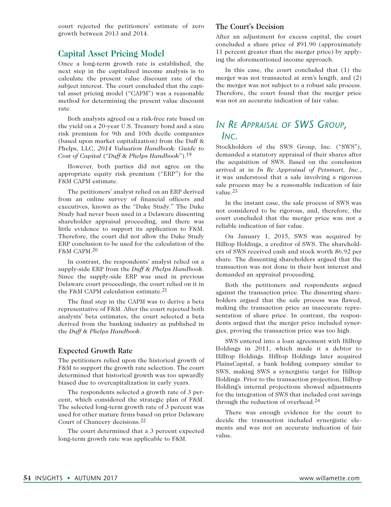court rejected the petitioners' estimate of zero growth between 2013 and 2014.

# **Capital Asset Pricing Model**

Once a long-term growth rate is established, the next step in the capitalized income analysis is to calculate the present value discount rate of the subject interest. The court concluded that the capital asset pricing model ("CAPM") was a reasonable method for determining the present value discount rate.

Both analysts agreed on a risk-free rate based on the yield on a 20-year U.S. Treasury bond and a size risk premium for 9th and 10th decile companies (based upon market capitalization) from the Duff & Phelps, LLC, *2014 Valuation Handbook: Guide to Cost of Capital* ("*Duff & Phelps Handbook*").19

However, both parties did not agree on the appropriate equity risk premium ("ERP") for the F&M CAPM estimate.

The petitioners' analyst relied on an ERP derived from an online survey of financial officers and executives, known as the "Duke Study." The Duke Study had never been used in a Delaware dissenting shareholder appraisal proceeding, and there was little evidence to support its application to F&M. Therefore, the court did not allow the Duke Study ERP conclusion to be used for the calculation of the F&M CAPM.20

In contrast, the respondents' analyst relied on a supply-side ERP from the *Duff & Phelps Handbook*. Since the supply-side ERP was used in previous Delaware court proceedings, the court relied on it in the F&M CAPM calculation estimate.<sup>21</sup>

The final step in the CAPM was to derive a beta representative of F&M. After the court rejected both analysts' beta estimates, the court selected a beta derived from the banking industry as published in the *Duff & Phelps Handbook*.

#### **Expected Growth Rate**

The petitioners relied upon the historical growth of F&M to support the growth rate selection. The court determined that historical growth was too upwardly biased due to overcapitalization in early years.

The respondents selected a growth rate of 3 percent, which considered the strategic plan of F&M. The selected long-term growth rate of 3 percent was used for other mature firms based on prior Delaware Court of Chancery decisions.22

The court determined that a 3 percent expected long-term growth rate was applicable to F&M.

#### **The Court's Decision**

After an adjustment for excess capital, the court concluded a share price of \$91.90 (approximately 11 percent greater than the merger price) by applying the aforementioned income approach.

In this case, the court concluded that (1) the merger was not transacted at arm's length, and (2) the merger was not subject to a robust sale process. Therefore, the court found that the merger price was not an accurate indication of fair value.

# *In Re Appraisal of SWS Group, Inc.*

Stockholders of the SWS Group, Inc. ("SWS"), demanded a statutory appraisal of their shares after the acquisition of SWS. Based on the conclusion arrived at in *In Re Appraisal of Petsmart, Inc.*, it was understood that a sale involving a rigorous sale process may be a reasonable indication of fair value.23

In the instant case, the sale process of SWS was not considered to be rigorous, and, therefore, the court concluded that the merger price was not a reliable indication of fair value.

On January 1, 2015, SWS was acquired by Hilltop Holdings, a creditor of SWS. The shareholders of SWS received cash and stock worth \$6.92 per share. The dissenting shareholders argued that the transaction was not done in their best interest and demanded an appraisal proceeding.

Both the petitioners and respondents argued against the transaction price. The dissenting shareholders argued that the sale process was flawed, making the transaction price an inaccurate representation of share price. In contrast, the respondents argued that the merger price included synergies, proving the transaction price was too high.

SWS entered into a loan agreement with Hilltop Holdings in 2011, which made it a debtor to Hilltop Holdings. Hilltop Holdings later acquired PlainsCapital, a bank holding company similar to SWS, making SWS a synergistic target for Hilltop Holdings. Prior to the transaction projection, Hilltop Holding's internal projections showed adjustments for the integration of SWS that included cost savings through the reduction of overhead.24

There was enough evidence for the court to decide the transaction included synergistic elements and was not an accurate indication of fair value.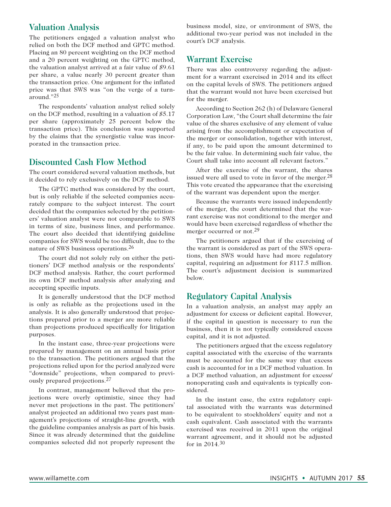# **Valuation Analysis**

The petitioners engaged a valuation analyst who relied on both the DCF method and GPTC method. Placing an 80 percent weighting on the DCF method and a 20 percent weighting on the GPTC method, the valuation analyst arrived at a fair value of \$9.61 per share, a value nearly 30 percent greater than the transaction price. One argument for the inflated price was that SWS was "on the verge of a turnaround."25

The respondents' valuation analyst relied solely on the DCF method, resulting in a valuation of \$5.17 per share (approximately 25 percent below the transaction price). This conclusion was supported by the claims that the synergistic value was incorporated in the transaction price.

### **Discounted Cash Flow Method**

The court considered several valuation methods, but it decided to rely exclusively on the DCF method.

The GPTC method was considered by the court, but is only reliable if the selected companies accurately compare to the subject interest. The court decided that the companies selected by the petitioners' valuation analyst were not comparable to SWS in terms of size, business lines, and performance. The court also decided that identifying guideline companies for SWS would be too difficult, due to the nature of SWS business operations.26

The court did not solely rely on either the petitioners' DCF method analysis or the respondents' DCF method analysis. Rather, the court performed its own DCF method analysis after analyzing and accepting specific inputs.

It is generally understood that the DCF method is only as reliable as the projections used in the analysis. It is also generally understood that projections prepared prior to a merger are more reliable than projections produced specifically for litigation purposes.

In the instant case, three-year projections were prepared by management on an annual basis prior to the transaction. The petitioners argued that the projections relied upon for the period analyzed were "downside" projections, when compared to previously prepared projections.27

In contrast, management believed that the projections were overly optimistic, since they had never met projections in the past. The petitioners' analyst projected an additional two years past management's projections of straight-line growth, with the guideline companies analysis as part of his basis. Since it was already determined that the guideline companies selected did not properly represent the business model, size, or environment of SWS, the additional two-year period was not included in the court's DCF analysis.

# **Warrant Exercise**

There was also controversy regarding the adjustment for a warrant exercised in 2014 and its effect on the capital levels of SWS. The petitioners argued that the warrant would not have been exercised but for the merger.

According to Section 262 (h) of Delaware General Corporation Law, "the Court shall determine the fair value of the shares exclusive of any element of value arising from the accomplishment or expectation of the merger or consolidation, together with interest, if any, to be paid upon the amount determined to be the fair value. In determining such fair value, the Court shall take into account all relevant factors."

After the exercise of the warrant, the shares issued were all used to vote in favor of the merger.<sup>28</sup> This vote created the appearance that the exercising of the warrant was dependent upon the merger.

Because the warrants were issued independently of the merger, the court determined that the warrant exercise was not conditional to the merger and would have been exercised regardless of whether the merger occurred or not.<sup>29</sup>

The petitioners argued that if the exercising of the warrant is considered as part of the SWS operations, then SWS would have had more regulatory capital, requiring an adjustment for \$117.5 million. The court's adjustment decision is summarized below.

### **Regulatory Capital Analysis**

In a valuation analysis, an analyst may apply an adjustment for excess or deficient capital. However, if the capital in question is necessary to run the business, then it is not typically considered excess capital, and it is not adjusted.

The petitioners argued that the excess regulatory capital associated with the exercise of the warrants must be accounted for the same way that excess cash is accounted for in a DCF method valuation. In a DCF method valuation, an adjustment for excess/ nonoperating cash and equivalents is typically considered.

In the instant case, the extra regulatory capital associated with the warrants was determined to be equivalent to stockholders' equity and not a cash equivalent. Cash associated with the warrants exercised was received in 2011 upon the original warrant agreement, and it should not be adjusted for in 2014.30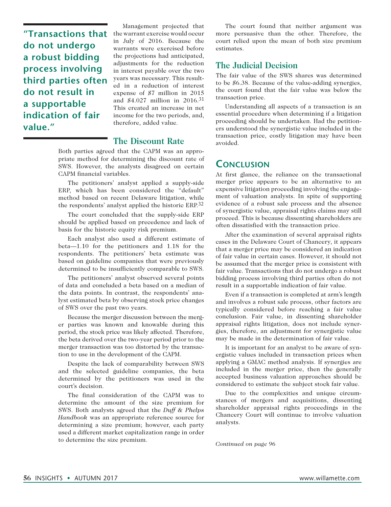**"Transactions that do not undergo a robust bidding process involving third parties often do not result in a supportable indication of fair value."**

Management projected that the warrant exercise would occur in July of 2016. Because the warrants were exercised before the projections had anticipated, adjustments for the reduction in interest payable over the two years was necessary. This resulted in a reduction of interest expense of \$7 million in 2015 and \$4.027 million in 2016.31 This created an increase in net income for the two periods, and, therefore, added value.

# **The Discount Rate**

Both parties agreed that the CAPM was an appropriate method for determining the discount rate of SWS. However, the analysts disagreed on certain CAPM financial variables.

The petitioners' analyst applied a supply-side ERP, which has been considered the "default" method based on recent Delaware litigation, while the respondents' analyst applied the historic ERP.32

The court concluded that the supply-side ERP should be applied based on precedence and lack of basis for the historic equity risk premium.

Each analyst also used a different estimate of beta—1.10 for the petitioners and 1.18 for the respondents. The petitioners' beta estimate was based on guideline companies that were previously determined to be insufficiently comparable to SWS.

The petitioners' analyst observed several points of data and concluded a beta based on a median of the data points. In contrast, the respondents' analyst estimated beta by observing stock price changes of SWS over the past two years.

Because the merger discussion between the merger parties was known and knowable during this period, the stock price was likely affected. Therefore, the beta derived over the two-year period prior to the merger transaction was too distorted by the transaction to use in the development of the CAPM.

Despite the lack of comparability between SWS and the selected guideline companies, the beta determined by the petitioners was used in the court's decision.

The final consideration of the CAPM was to determine the amount of the size premium for SWS. Both analysts agreed that the *Duff & Phelps Handbook* was an appropriate reference source for determining a size premium; however, each party used a different market capitalization range in order to determine the size premium.

The court found that neither argument was more persuasive than the other. Therefore, the court relied upon the mean of both size premium estimates.

# **The Judicial Decision**

The fair value of the SWS shares was determined to be \$6.38. Because of the value-adding synergies, the court found that the fair value was below the transaction price.

Understanding all aspects of a transaction is an essential procedure when determining if a litigation proceeding should be undertaken. Had the petitioners understood the synergistic value included in the transaction price, costly litigation may have been avoided.

# **Conclusion**

At first glance, the reliance on the transactional merger price appears to be an alternative to an expensive litigation proceeding involving the engagement of valuation analysts. In spite of supporting evidence of a robust sale process and the absence of synergistic value, appraisal rights claims may still proceed. This is because dissenting shareholders are often dissatisfied with the transaction price.

After the examination of several appraisal rights cases in the Delaware Court of Chancery, it appears that a merger price may be considered an indication of fair value in certain cases. However, it should not be assumed that the merger price is consistent with fair value. Transactions that do not undergo a robust bidding process involving third parties often do not result in a supportable indication of fair value.

Even if a transaction is completed at arm's length and involves a robust sale process, other factors are typically considered before reaching a fair value conclusion. Fair value, in dissenting shareholder appraisal rights litigation, does not include synergies, therefore, an adjustment for synergistic value may be made in the determination of fair value.

It is important for an analyst to be aware of synergistic values included in transaction prices when applying a GMAC method analysis. If synergies are included in the merger price, then the generally accepted business valuation approaches should be considered to estimate the subject stock fair value.

Due to the complexities and unique circumstances of mergers and acquisitions, dissenting shareholder appraisal rights proceedings in the Chancery Court will continue to involve valuation analysts.

*Continued on page 96*